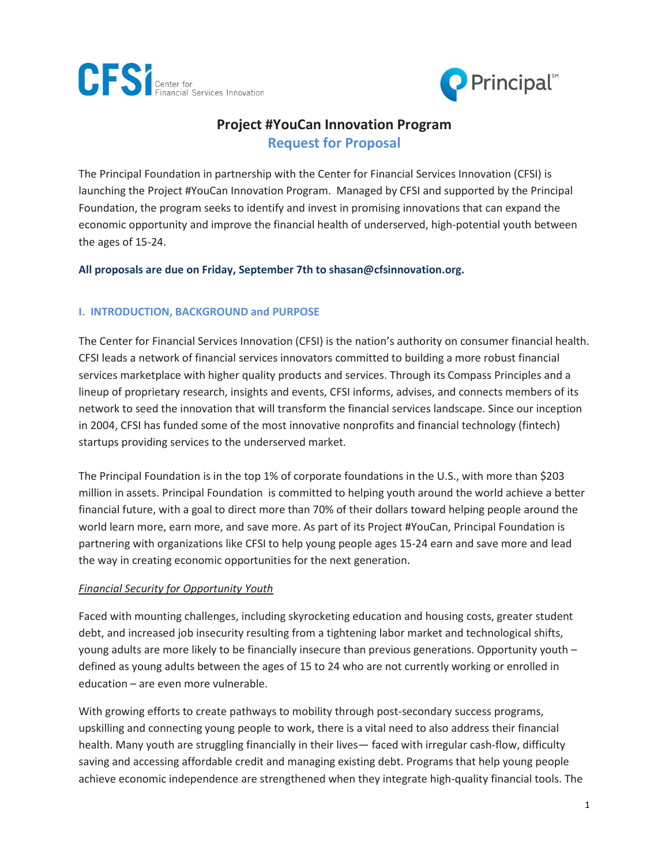



# **Project #YouCan Innovation Program Request for Proposal**

The Principal Foundation in partnership with the Center for Financial Services Innovation (CFSI) is launching the Project #YouCan Innovation Program. Managed by CFSI and supported by the Principal Foundation, the program seeks to identify and invest in promising innovations that can expand the economic opportunity and improve the financial health of underserved, high-potential youth between the ages of 15-24.

#### **All proposals are due on Friday, September 7th to shasan@cfsinnovation.org.**

#### **I. INTRODUCTION, BACKGROUND and PURPOSE**

The Center for Financial Services Innovation (CFSI) is the nation's authority on consumer financial health. CFSI leads a network of financial services innovators committed to building a more robust financial services marketplace with higher quality products and services. Through its Compass Principles and a lineup of proprietary research, insights and events, CFSI informs, advises, and connects members of its network to seed the innovation that will transform the financial services landscape. Since our inception in 2004, CFSI has funded some of the most innovative nonprofits and financial technology (fintech) startups providing services to the underserved market.

The Principal Foundation is in the top 1% of corporate foundations in the U.S., with more than \$203 million in assets. Principal Foundation is committed to helping youth around the world achieve a better financial future, with a goal to direct more than 70% of their dollars toward helping people around the world learn more, earn more, and save more. As part of its Project #YouCan, Principal Foundation is partnering with organizations like CFSI to help young people ages 15-24 earn and save more and lead the way in creating economic opportunities for the next generation.

#### *Financial Security for Opportunity Youth*

Faced with mounting challenges, including skyrocketing education and housing costs, greater student debt, and increased job insecurity resulting from a tightening labor market and technological shifts, young adults are more likely to be financially insecure than previous generations. Opportunity youth – defined as young adults between the ages of 15 to 24 who are not currently working or enrolled in education – are even more vulnerable.

With growing efforts to create pathways to mobility through post-secondary success programs, upskilling and connecting young people to work, there is a vital need to also address their financial health. Many youth are struggling financially in their lives— faced with irregular cash-flow, difficulty saving and accessing affordable credit and managing existing debt. Programs that help young people achieve economic independence are strengthened when they integrate high-quality financial tools. The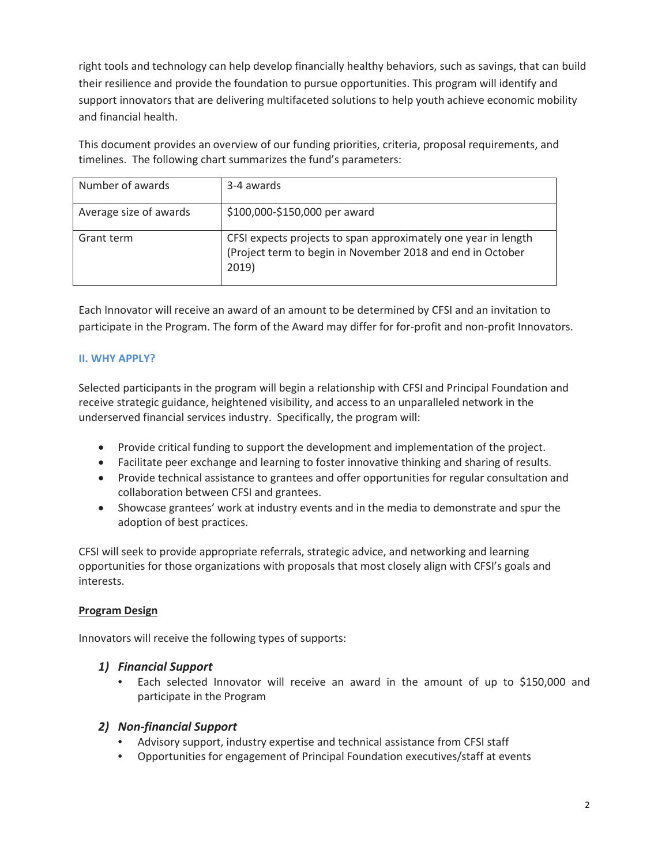right tools and technology can help develop financially healthy behaviors, such as savings, that can build their resilience and provide the foundation to pursue opportunities. This program will identify and support innovators that are delivering multifaceted solutions to help youth achieve economic mobility and financial health.

This document provides an overview of our funding priorities, criteria, proposal requirements, and timelines. The following chart summarizes the fund's parameters:

| Number of awards       | 3-4 awards                                                     |
|------------------------|----------------------------------------------------------------|
|                        |                                                                |
| Average size of awards | \$100,000-\$150,000 per award                                  |
|                        |                                                                |
| Grant term             | CFSI expects projects to span approximately one year in length |
|                        | (Project term to begin in November 2018 and end in October     |
|                        |                                                                |
|                        | 2019)                                                          |
|                        |                                                                |

Each Innovator will receive an award of an amount to be determined by CFSI and an invitation to participate in the Program. The form of the Award may differ for for-profit and non-profit Innovators.

## **II. WHY APPLY?**

Selected participants in the program will begin a relationship with CFSI and Principal Foundation and receive strategic guidance, heightened visibility, and access to an unparalleled network in the underserved financial services industry. Specifically, the program will:

- Provide critical funding to support the development and implementation of the project.
- Facilitate peer exchange and learning to foster innovative thinking and sharing of results.
- Provide technical assistance to grantees and offer opportunities for regular consultation and collaboration between CFSI and grantees.
- Showcase grantees' work at industry events and in the media to demonstrate and spur the adoption of best practices.

CFSI will seek to provide appropriate referrals, strategic advice, and networking and learning opportunities for those organizations with proposals that most closely align with CFSI's goals and interests.

## **Program Design**

Innovators will receive the following types of supports:

## *1) Financial Support*

• Each selected Innovator will receive an award in the amount of up to \$150,000 and participate in the Program

## *2) Non-financial Support*

- Advisory support, industry expertise and technical assistance from CFSI staff
- Opportunities for engagement of Principal Foundation executives/staff at events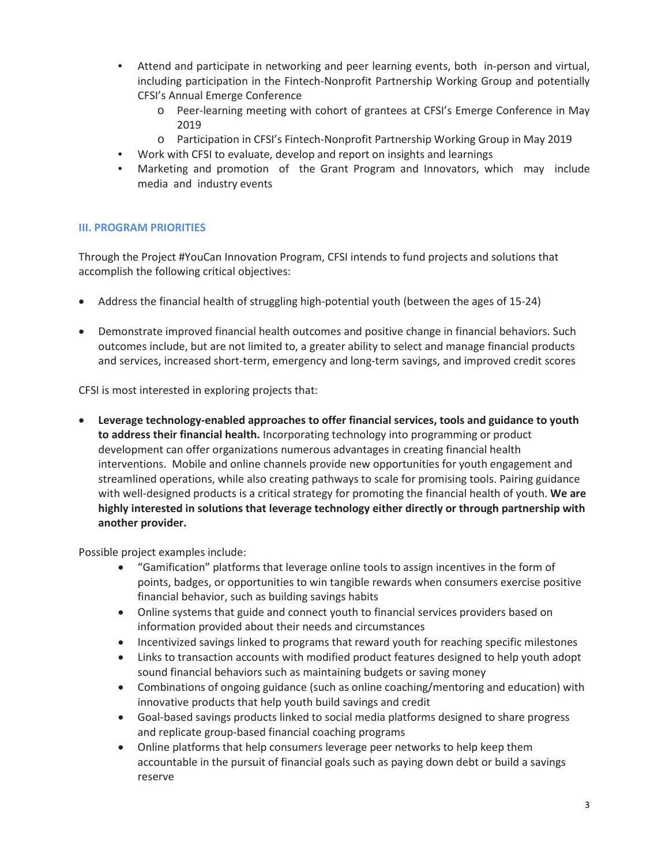- Attend and participate in networking and peer learning events, both in-person and virtual, including participation in the Fintech-Nonprofit Partnership Working Group and potentially CFSI's Annual Emerge Conference
	- o Peer-learning meeting with cohort of grantees at CFSI's Emerge Conference in May 2019
	- o Participation in CFSI's Fintech-Nonprofit Partnership Working Group in May 2019
- Work with CFSI to evaluate, develop and report on insights and learnings
- Marketing and promotion of the Grant Program and Innovators, which may include media and industry events

#### **III. PROGRAM PRIORITIES**

Through the Project #YouCan Innovation Program, CFSI intends to fund projects and solutions that accomplish the following critical objectives:

- Address the financial health of struggling high-potential youth (between the ages of 15-24)
- Demonstrate improved financial health outcomes and positive change in financial behaviors. Such outcomes include, but are not limited to, a greater ability to select and manage financial products and services, increased short-term, emergency and long-term savings, and improved credit scores

CFSI is most interested in exploring projects that:

• **Leverage technology-enabled approaches to offer financial services, tools and guidance to youth to address their financial health.** Incorporating technology into programming or product development can offer organizations numerous advantages in creating financial health interventions. Mobile and online channels provide new opportunities for youth engagement and streamlined operations, while also creating pathways to scale for promising tools. Pairing guidance with well-designed products is a critical strategy for promoting the financial health of youth. **We are highly interested in solutions that leverage technology either directly or through partnership with another provider.**

Possible project examples include:

- "Gamification" platforms that leverage online tools to assign incentives in the form of points, badges, or opportunities to win tangible rewards when consumers exercise positive financial behavior, such as building savings habits
- Online systems that guide and connect youth to financial services providers based on information provided about their needs and circumstances
- Incentivized savings linked to programs that reward youth for reaching specific milestones
- Links to transaction accounts with modified product features designed to help youth adopt sound financial behaviors such as maintaining budgets or saving money
- Combinations of ongoing guidance (such as online coaching/mentoring and education) with innovative products that help youth build savings and credit
- Goal-based savings products linked to social media platforms designed to share progress and replicate group-based financial coaching programs
- Online platforms that help consumers leverage peer networks to help keep them accountable in the pursuit of financial goals such as paying down debt or build a savings reserve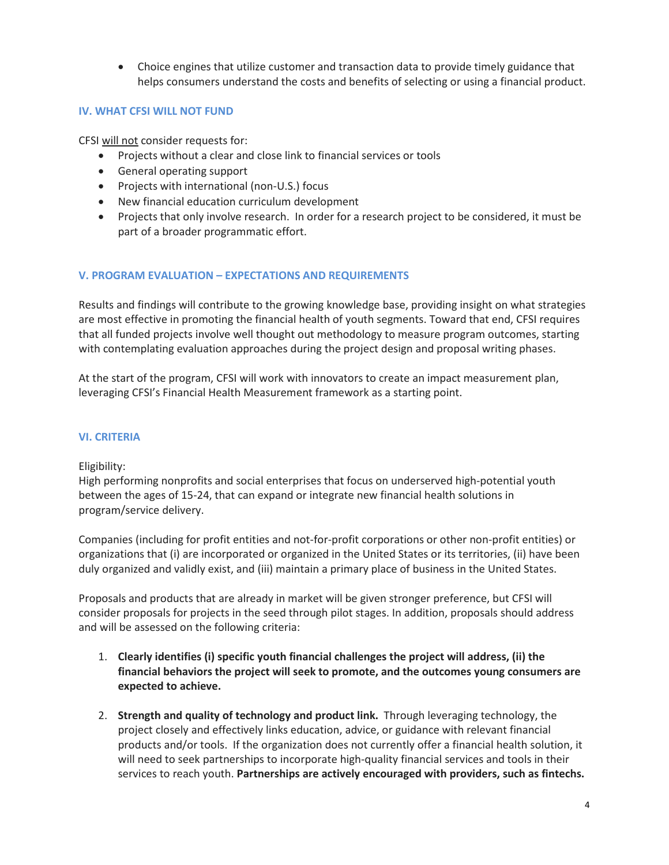• Choice engines that utilize customer and transaction data to provide timely guidance that helps consumers understand the costs and benefits of selecting or using a financial product.

#### **IV. WHAT CFSI WILL NOT FUND**

CFSI will not consider requests for:

- Projects without a clear and close link to financial services or tools
- General operating support
- Projects with international (non-U.S.) focus
- New financial education curriculum development
- Projects that only involve research. In order for a research project to be considered, it must be part of a broader programmatic effort.

#### **V. PROGRAM EVALUATION – EXPECTATIONS AND REQUIREMENTS**

Results and findings will contribute to the growing knowledge base, providing insight on what strategies are most effective in promoting the financial health of youth segments. Toward that end, CFSI requires that all funded projects involve well thought out methodology to measure program outcomes, starting with contemplating evaluation approaches during the project design and proposal writing phases.

At the start of the program, CFSI will work with innovators to create an impact measurement plan, leveraging CFSI's Financial Health Measurement framework as a starting point.

#### **VI. CRITERIA**

#### Eligibility:

High performing nonprofits and social enterprises that focus on underserved high-potential youth between the ages of 15-24, that can expand or integrate new financial health solutions in program/service delivery.

Companies (including for profit entities and not-for-profit corporations or other non-profit entities) or organizations that (i) are incorporated or organized in the United States or its territories, (ii) have been duly organized and validly exist, and (iii) maintain a primary place of business in the United States.

Proposals and products that are already in market will be given stronger preference, but CFSI will consider proposals for projects in the seed through pilot stages. In addition, proposals should address and will be assessed on the following criteria:

- 1. **Clearly identifies (i) specific youth financial challenges the project will address, (ii) the financial behaviors the project will seek to promote, and the outcomes young consumers are expected to achieve.**
- 2. **Strength and quality of technology and product link.** Through leveraging technology, the project closely and effectively links education, advice, or guidance with relevant financial products and/or tools. If the organization does not currently offer a financial health solution, it will need to seek partnerships to incorporate high-quality financial services and tools in their services to reach youth. **Partnerships are actively encouraged with providers, such as fintechs.**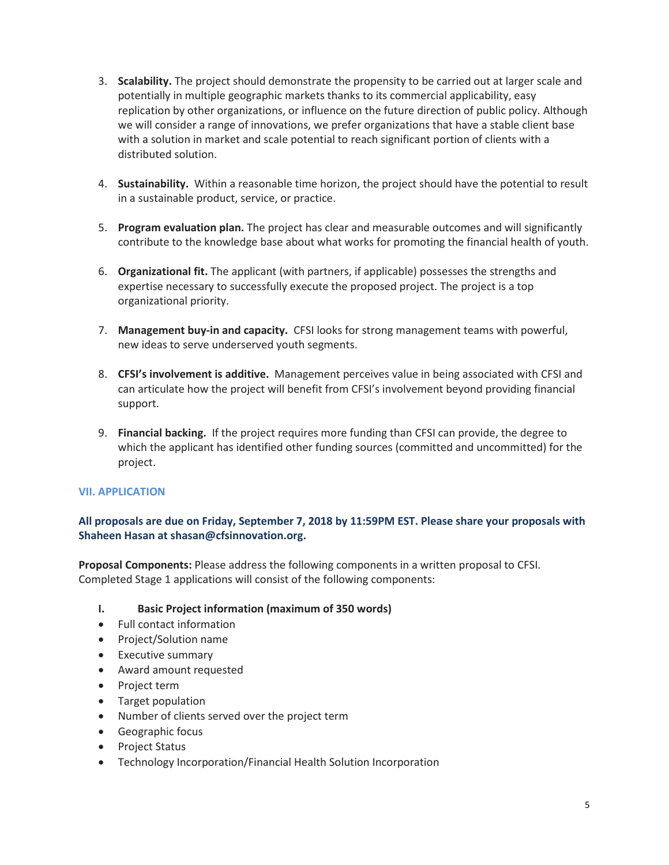- 3. **Scalability.** The project should demonstrate the propensity to be carried out at larger scale and potentially in multiple geographic markets thanks to its commercial applicability, easy replication by other organizations, or influence on the future direction of public policy. Although we will consider a range of innovations, we prefer organizations that have a stable client base with a solution in market and scale potential to reach significant portion of clients with a distributed solution.
- 4. **Sustainability.** Within a reasonable time horizon, the project should have the potential to result in a sustainable product, service, or practice.
- 5. **Program evaluation plan.** The project has clear and measurable outcomes and will significantly contribute to the knowledge base about what works for promoting the financial health of youth.
- 6. **Organizational fit.** The applicant (with partners, if applicable) possesses the strengths and expertise necessary to successfully execute the proposed project. The project is a top organizational priority.
- 7. **Management buy-in and capacity.** CFSI looks for strong management teams with powerful, new ideas to serve underserved youth segments.
- 8. **CFSI's involvement is additive.** Management perceives value in being associated with CFSI and can articulate how the project will benefit from CFSI's involvement beyond providing financial support.
- 9. **Financial backing.** If the project requires more funding than CFSI can provide, the degree to which the applicant has identified other funding sources (committed and uncommitted) for the project.

#### **VII. APPLICATION**

## **All proposals are due on Friday, September 7, 2018 by 11:59PM EST. Please share your proposals with Shaheen Hasan at shasan@cfsinnovation.org.**

**Proposal Components:** Please address the following components in a written proposal to CFSI. Completed Stage 1 applications will consist of the following components:

#### **I. Basic Project information (maximum of 350 words)**

- Full contact information
- Project/Solution name
- Executive summary
- Award amount requested
- Project term
- Target population
- Number of clients served over the project term
- Geographic focus
- Project Status
- Technology Incorporation/Financial Health Solution Incorporation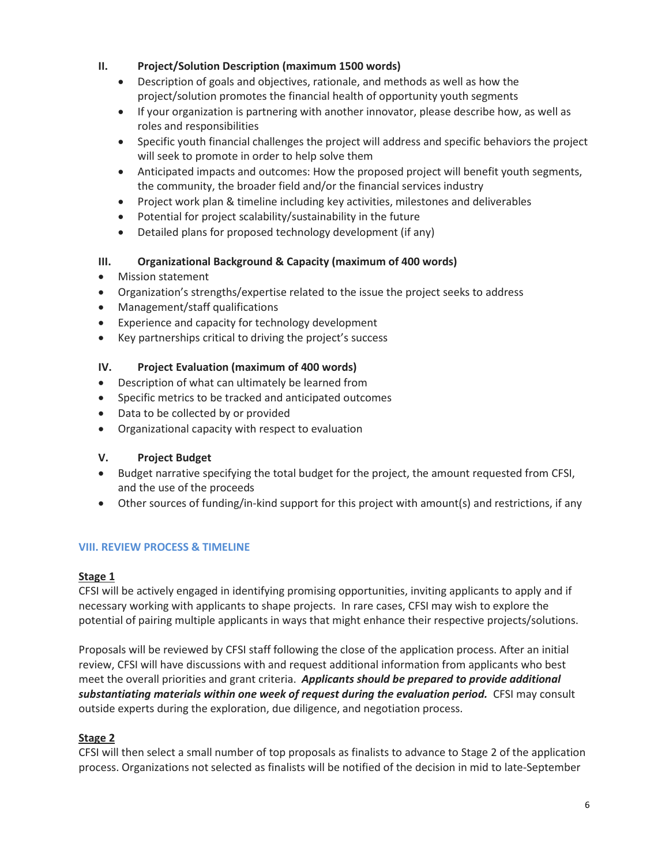## **II. Project/Solution Description (maximum 1500 words)**

- Description of goals and objectives, rationale, and methods as well as how the project/solution promotes the financial health of opportunity youth segments
- If your organization is partnering with another innovator, please describe how, as well as roles and responsibilities
- Specific youth financial challenges the project will address and specific behaviors the project will seek to promote in order to help solve them
- Anticipated impacts and outcomes: How the proposed project will benefit youth segments, the community, the broader field and/or the financial services industry
- Project work plan & timeline including key activities, milestones and deliverables
- Potential for project scalability/sustainability in the future
- Detailed plans for proposed technology development (if any)

## **III. Organizational Background & Capacity (maximum of 400 words)**

- Mission statement
- Organization's strengths/expertise related to the issue the project seeks to address
- Management/staff qualifications
- Experience and capacity for technology development
- Key partnerships critical to driving the project's success

## **IV. Project Evaluation (maximum of 400 words)**

- Description of what can ultimately be learned from
- Specific metrics to be tracked and anticipated outcomes
- Data to be collected by or provided
- Organizational capacity with respect to evaluation

## **V. Project Budget**

- Budget narrative specifying the total budget for the project, the amount requested from CFSI, and the use of the proceeds
- Other sources of funding/in-kind support for this project with amount(s) and restrictions, if any

## **VIII. REVIEW PROCESS & TIMELINE**

## **Stage 1**

CFSI will be actively engaged in identifying promising opportunities, inviting applicants to apply and if necessary working with applicants to shape projects. In rare cases, CFSI may wish to explore the potential of pairing multiple applicants in ways that might enhance their respective projects/solutions.

Proposals will be reviewed by CFSI staff following the close of the application process. After an initial review, CFSI will have discussions with and request additional information from applicants who best meet the overall priorities and grant criteria. *Applicants should be prepared to provide additional substantiating materials within one week of request during the evaluation period.* CFSI may consult outside experts during the exploration, due diligence, and negotiation process.

# **Stage 2**

CFSI will then select a small number of top proposals as finalists to advance to Stage 2 of the application process. Organizations not selected as finalists will be notified of the decision in mid to late-September